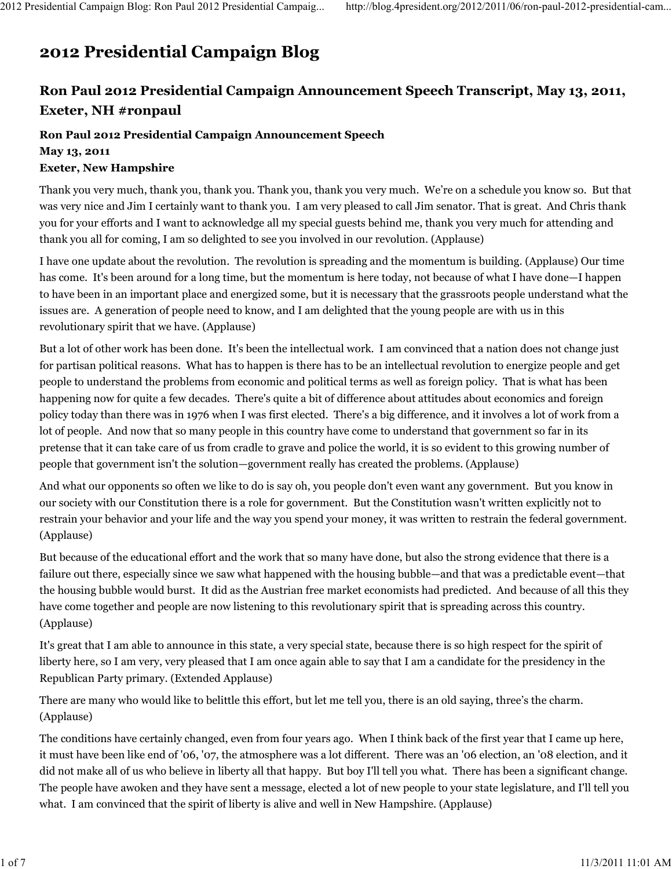## 2012 Presidential Campaign Blog

## Ron Paul 2012 Presidential Campaign Announcement Speech Transcript, May 13, 2011, Exeter, NH #ronpaul

## Ron Paul 2012 Presidential Campaign Announcement Speech

May 13, 2011

## Exeter, New Hampshire

Thank you very much, thank you, thank you. Thank you, thank you very much. We're on a schedule you know so. But that was very nice and Jim I certainly want to thank you. I am very pleased to call Jim senator. That is great. And Chris thank you for your efforts and I want to acknowledge all my special guests behind me, thank you very much for attending and thank you all for coming, I am so delighted to see you involved in our revolution. (Applause)

I have one update about the revolution. The revolution is spreading and the momentum is building. (Applause) Our time has come. It's been around for a long time, but the momentum is here today, not because of what I have done—I happen to have been in an important place and energized some, but it is necessary that the grassroots people understand what the issues are. A generation of people need to know, and I am delighted that the young people are with us in this revolutionary spirit that we have. (Applause)

But a lot of other work has been done. It's been the intellectual work. I am convinced that a nation does not change just for partisan political reasons. What has to happen is there has to be an intellectual revolution to energize people and get people to understand the problems from economic and political terms as well as foreign policy. That is what has been happening now for quite a few decades. There's quite a bit of difference about attitudes about economics and foreign policy today than there was in 1976 when I was first elected. There's a big difference, and it involves a lot of work from a lot of people. And now that so many people in this country have come to understand that government so far in its pretense that it can take care of us from cradle to grave and police the world, it is so evident to this growing number of people that government isn't the solution—government really has created the problems. (Applause)

And what our opponents so often we like to do is say oh, you people don't even want any government. But you know in our society with our Constitution there is a role for government. But the Constitution wasn't written explicitly not to restrain your behavior and your life and the way you spend your money, it was written to restrain the federal government. (Applause)

But because of the educational effort and the work that so many have done, but also the strong evidence that there is a failure out there, especially since we saw what happened with the housing bubble—and that was a predictable event—that the housing bubble would burst. It did as the Austrian free market economists had predicted. And because of all this they have come together and people are now listening to this revolutionary spirit that is spreading across this country. (Applause)

It's great that I am able to announce in this state, a very special state, because there is so high respect for the spirit of liberty here, so I am very, very pleased that I am once again able to say that I am a candidate for the presidency in the Republican Party primary. (Extended Applause)

There are many who would like to belittle this effort, but let me tell you, there is an old saying, three's the charm. (Applause)

The conditions have certainly changed, even from four years ago. When I think back of the first year that I came up here, it must have been like end of '06, '07, the atmosphere was a lot different. There was an '06 election, an '08 election, and it did not make all of us who believe in liberty all that happy. But boy I'll tell you what. There has been a significant change. The people have awoken and they have sent a message, elected a lot of new people to your state legislature, and I'll tell you what. I am convinced that the spirit of liberty is alive and well in New Hampshire. (Applause)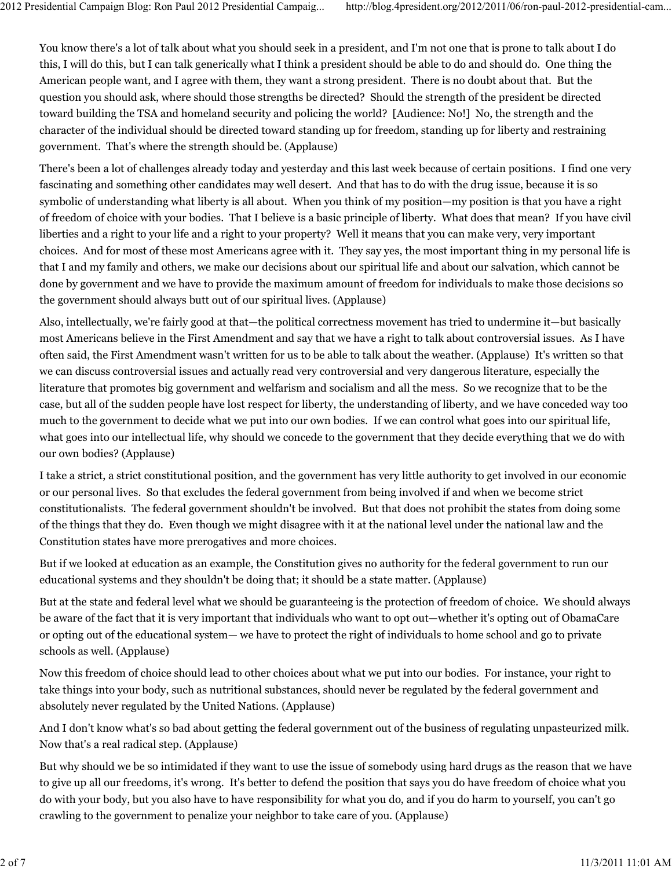You know there's a lot of talk about what you should seek in a president, and I'm not one that is prone to talk about I do this, I will do this, but I can talk generically what I think a president should be able to do and should do. One thing the American people want, and I agree with them, they want a strong president. There is no doubt about that. But the question you should ask, where should those strengths be directed? Should the strength of the president be directed toward building the TSA and homeland security and policing the world? [Audience: No!] No, the strength and the character of the individual should be directed toward standing up for freedom, standing up for liberty and restraining government. That's where the strength should be. (Applause)

There's been a lot of challenges already today and yesterday and this last week because of certain positions. I find one very fascinating and something other candidates may well desert. And that has to do with the drug issue, because it is so symbolic of understanding what liberty is all about. When you think of my position—my position is that you have a right of freedom of choice with your bodies. That I believe is a basic principle of liberty. What does that mean? If you have civil liberties and a right to your life and a right to your property? Well it means that you can make very, very important choices. And for most of these most Americans agree with it. They say yes, the most important thing in my personal life is that I and my family and others, we make our decisions about our spiritual life and about our salvation, which cannot be done by government and we have to provide the maximum amount of freedom for individuals to make those decisions so the government should always butt out of our spiritual lives. (Applause)

Also, intellectually, we're fairly good at that—the political correctness movement has tried to undermine it—but basically most Americans believe in the First Amendment and say that we have a right to talk about controversial issues. As I have often said, the First Amendment wasn't written for us to be able to talk about the weather. (Applause) It's written so that we can discuss controversial issues and actually read very controversial and very dangerous literature, especially the literature that promotes big government and welfarism and socialism and all the mess. So we recognize that to be the case, but all of the sudden people have lost respect for liberty, the understanding of liberty, and we have conceded way too much to the government to decide what we put into our own bodies. If we can control what goes into our spiritual life, what goes into our intellectual life, why should we concede to the government that they decide everything that we do with our own bodies? (Applause)

I take a strict, a strict constitutional position, and the government has very little authority to get involved in our economic or our personal lives. So that excludes the federal government from being involved if and when we become strict constitutionalists. The federal government shouldn't be involved. But that does not prohibit the states from doing some of the things that they do. Even though we might disagree with it at the national level under the national law and the Constitution states have more prerogatives and more choices.

But if we looked at education as an example, the Constitution gives no authority for the federal government to run our educational systems and they shouldn't be doing that; it should be a state matter. (Applause)

But at the state and federal level what we should be guaranteeing is the protection of freedom of choice. We should always be aware of the fact that it is very important that individuals who want to opt out—whether it's opting out of ObamaCare or opting out of the educational system— we have to protect the right of individuals to home school and go to private schools as well. (Applause)

Now this freedom of choice should lead to other choices about what we put into our bodies. For instance, your right to take things into your body, such as nutritional substances, should never be regulated by the federal government and absolutely never regulated by the United Nations. (Applause)

And I don't know what's so bad about getting the federal government out of the business of regulating unpasteurized milk. Now that's a real radical step. (Applause)

But why should we be so intimidated if they want to use the issue of somebody using hard drugs as the reason that we have to give up all our freedoms, it's wrong. It's better to defend the position that says you do have freedom of choice what you do with your body, but you also have to have responsibility for what you do, and if you do harm to yourself, you can't go crawling to the government to penalize your neighbor to take care of you. (Applause)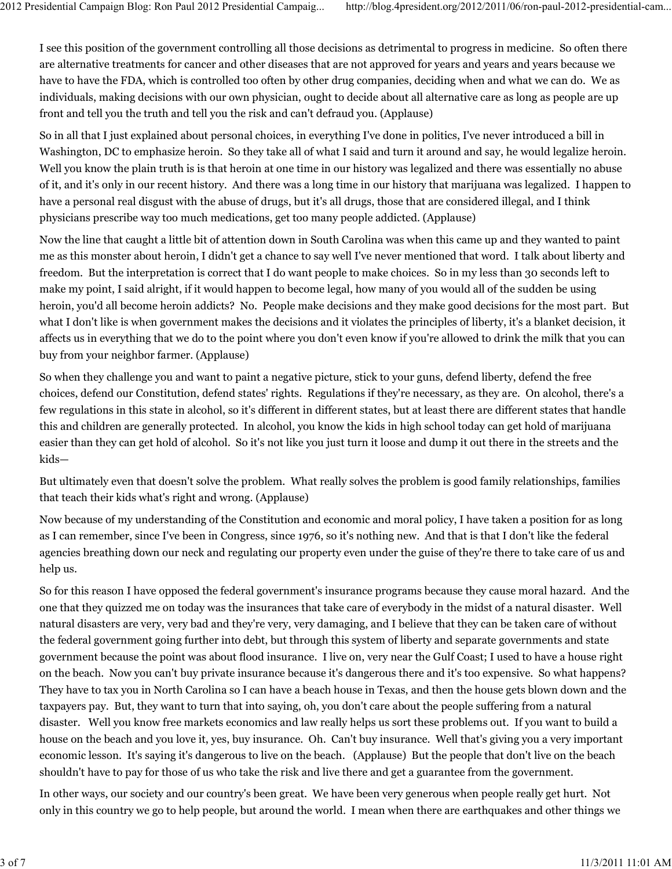I see this position of the government controlling all those decisions as detrimental to progress in medicine. So often there are alternative treatments for cancer and other diseases that are not approved for years and years and years because we have to have the FDA, which is controlled too often by other drug companies, deciding when and what we can do. We as individuals, making decisions with our own physician, ought to decide about all alternative care as long as people are up front and tell you the truth and tell you the risk and can't defraud you. (Applause)

So in all that I just explained about personal choices, in everything I've done in politics, I've never introduced a bill in Washington, DC to emphasize heroin. So they take all of what I said and turn it around and say, he would legalize heroin. Well you know the plain truth is is that heroin at one time in our history was legalized and there was essentially no abuse of it, and it's only in our recent history. And there was a long time in our history that marijuana was legalized. I happen to have a personal real disgust with the abuse of drugs, but it's all drugs, those that are considered illegal, and I think physicians prescribe way too much medications, get too many people addicted. (Applause)

Now the line that caught a little bit of attention down in South Carolina was when this came up and they wanted to paint me as this monster about heroin, I didn't get a chance to say well I've never mentioned that word. I talk about liberty and freedom. But the interpretation is correct that I do want people to make choices. So in my less than 30 seconds left to make my point, I said alright, if it would happen to become legal, how many of you would all of the sudden be using heroin, you'd all become heroin addicts? No. People make decisions and they make good decisions for the most part. But what I don't like is when government makes the decisions and it violates the principles of liberty, it's a blanket decision, it affects us in everything that we do to the point where you don't even know if you're allowed to drink the milk that you can buy from your neighbor farmer. (Applause)

So when they challenge you and want to paint a negative picture, stick to your guns, defend liberty, defend the free choices, defend our Constitution, defend states' rights. Regulations if they're necessary, as they are. On alcohol, there's a few regulations in this state in alcohol, so it's different in different states, but at least there are different states that handle this and children are generally protected. In alcohol, you know the kids in high school today can get hold of marijuana easier than they can get hold of alcohol. So it's not like you just turn it loose and dump it out there in the streets and the kids—

But ultimately even that doesn't solve the problem. What really solves the problem is good family relationships, families that teach their kids what's right and wrong. (Applause)

Now because of my understanding of the Constitution and economic and moral policy, I have taken a position for as long as I can remember, since I've been in Congress, since 1976, so it's nothing new. And that is that I don't like the federal agencies breathing down our neck and regulating our property even under the guise of they're there to take care of us and help us.

So for this reason I have opposed the federal government's insurance programs because they cause moral hazard. And the one that they quizzed me on today was the insurances that take care of everybody in the midst of a natural disaster. Well natural disasters are very, very bad and they're very, very damaging, and I believe that they can be taken care of without the federal government going further into debt, but through this system of liberty and separate governments and state government because the point was about flood insurance. I live on, very near the Gulf Coast; I used to have a house right on the beach. Now you can't buy private insurance because it's dangerous there and it's too expensive. So what happens? They have to tax you in North Carolina so I can have a beach house in Texas, and then the house gets blown down and the taxpayers pay. But, they want to turn that into saying, oh, you don't care about the people suffering from a natural disaster. Well you know free markets economics and law really helps us sort these problems out. If you want to build a house on the beach and you love it, yes, buy insurance. Oh. Can't buy insurance. Well that's giving you a very important economic lesson. It's saying it's dangerous to live on the beach. (Applause) But the people that don't live on the beach shouldn't have to pay for those of us who take the risk and live there and get a guarantee from the government.

In other ways, our society and our country's been great. We have been very generous when people really get hurt. Not only in this country we go to help people, but around the world. I mean when there are earthquakes and other things we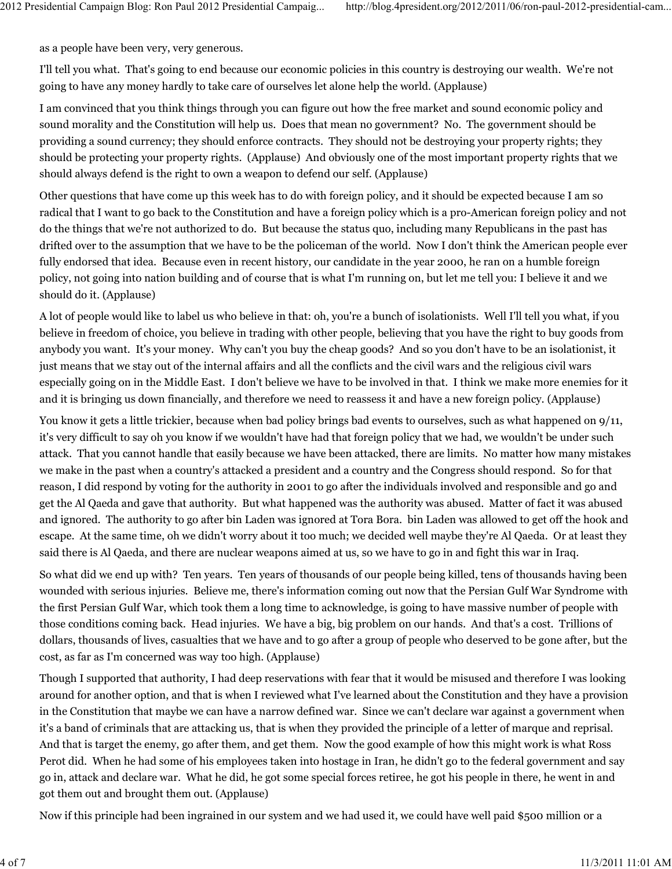as a people have been very, very generous.

I'll tell you what. That's going to end because our economic policies in this country is destroying our wealth. We're not going to have any money hardly to take care of ourselves let alone help the world. (Applause)

I am convinced that you think things through you can figure out how the free market and sound economic policy and sound morality and the Constitution will help us. Does that mean no government? No. The government should be providing a sound currency; they should enforce contracts. They should not be destroying your property rights; they should be protecting your property rights. (Applause) And obviously one of the most important property rights that we should always defend is the right to own a weapon to defend our self. (Applause)

Other questions that have come up this week has to do with foreign policy, and it should be expected because I am so radical that I want to go back to the Constitution and have a foreign policy which is a pro-American foreign policy and not do the things that we're not authorized to do. But because the status quo, including many Republicans in the past has drifted over to the assumption that we have to be the policeman of the world. Now I don't think the American people ever fully endorsed that idea. Because even in recent history, our candidate in the year 2000, he ran on a humble foreign policy, not going into nation building and of course that is what I'm running on, but let me tell you: I believe it and we should do it. (Applause)

A lot of people would like to label us who believe in that: oh, you're a bunch of isolationists. Well I'll tell you what, if you believe in freedom of choice, you believe in trading with other people, believing that you have the right to buy goods from anybody you want. It's your money. Why can't you buy the cheap goods? And so you don't have to be an isolationist, it just means that we stay out of the internal affairs and all the conflicts and the civil wars and the religious civil wars especially going on in the Middle East. I don't believe we have to be involved in that. I think we make more enemies for it and it is bringing us down financially, and therefore we need to reassess it and have a new foreign policy. (Applause)

You know it gets a little trickier, because when bad policy brings bad events to ourselves, such as what happened on 9/11, it's very difficult to say oh you know if we wouldn't have had that foreign policy that we had, we wouldn't be under such attack. That you cannot handle that easily because we have been attacked, there are limits. No matter how many mistakes we make in the past when a country's attacked a president and a country and the Congress should respond. So for that reason, I did respond by voting for the authority in 2001 to go after the individuals involved and responsible and go and get the Al Qaeda and gave that authority. But what happened was the authority was abused. Matter of fact it was abused and ignored. The authority to go after bin Laden was ignored at Tora Bora. bin Laden was allowed to get off the hook and escape. At the same time, oh we didn't worry about it too much; we decided well maybe they're Al Qaeda. Or at least they said there is Al Qaeda, and there are nuclear weapons aimed at us, so we have to go in and fight this war in Iraq.

So what did we end up with? Ten years. Ten years of thousands of our people being killed, tens of thousands having been wounded with serious injuries. Believe me, there's information coming out now that the Persian Gulf War Syndrome with the first Persian Gulf War, which took them a long time to acknowledge, is going to have massive number of people with those conditions coming back. Head injuries. We have a big, big problem on our hands. And that's a cost. Trillions of dollars, thousands of lives, casualties that we have and to go after a group of people who deserved to be gone after, but the cost, as far as I'm concerned was way too high. (Applause)

Though I supported that authority, I had deep reservations with fear that it would be misused and therefore I was looking around for another option, and that is when I reviewed what I've learned about the Constitution and they have a provision in the Constitution that maybe we can have a narrow defined war. Since we can't declare war against a government when it's a band of criminals that are attacking us, that is when they provided the principle of a letter of marque and reprisal. And that is target the enemy, go after them, and get them. Now the good example of how this might work is what Ross Perot did. When he had some of his employees taken into hostage in Iran, he didn't go to the federal government and say go in, attack and declare war. What he did, he got some special forces retiree, he got his people in there, he went in and got them out and brought them out. (Applause)

Now if this principle had been ingrained in our system and we had used it, we could have well paid \$500 million or a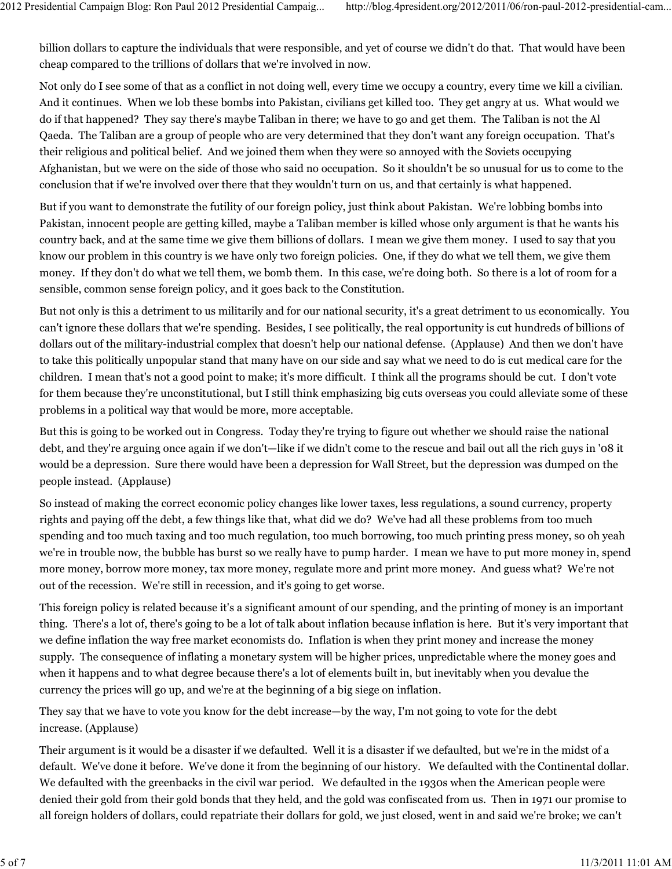billion dollars to capture the individuals that were responsible, and yet of course we didn't do that. That would have been cheap compared to the trillions of dollars that we're involved in now.

Not only do I see some of that as a conflict in not doing well, every time we occupy a country, every time we kill a civilian. And it continues. When we lob these bombs into Pakistan, civilians get killed too. They get angry at us. What would we do if that happened? They say there's maybe Taliban in there; we have to go and get them. The Taliban is not the Al Qaeda. The Taliban are a group of people who are very determined that they don't want any foreign occupation. That's their religious and political belief. And we joined them when they were so annoyed with the Soviets occupying Afghanistan, but we were on the side of those who said no occupation. So it shouldn't be so unusual for us to come to the conclusion that if we're involved over there that they wouldn't turn on us, and that certainly is what happened.

But if you want to demonstrate the futility of our foreign policy, just think about Pakistan. We're lobbing bombs into Pakistan, innocent people are getting killed, maybe a Taliban member is killed whose only argument is that he wants his country back, and at the same time we give them billions of dollars. I mean we give them money. I used to say that you know our problem in this country is we have only two foreign policies. One, if they do what we tell them, we give them money. If they don't do what we tell them, we bomb them. In this case, we're doing both. So there is a lot of room for a sensible, common sense foreign policy, and it goes back to the Constitution.

But not only is this a detriment to us militarily and for our national security, it's a great detriment to us economically. You can't ignore these dollars that we're spending. Besides, I see politically, the real opportunity is cut hundreds of billions of dollars out of the military-industrial complex that doesn't help our national defense. (Applause) And then we don't have to take this politically unpopular stand that many have on our side and say what we need to do is cut medical care for the children. I mean that's not a good point to make; it's more difficult. I think all the programs should be cut. I don't vote for them because they're unconstitutional, but I still think emphasizing big cuts overseas you could alleviate some of these problems in a political way that would be more, more acceptable.

But this is going to be worked out in Congress. Today they're trying to figure out whether we should raise the national debt, and they're arguing once again if we don't—like if we didn't come to the rescue and bail out all the rich guys in '08 it would be a depression. Sure there would have been a depression for Wall Street, but the depression was dumped on the people instead. (Applause)

So instead of making the correct economic policy changes like lower taxes, less regulations, a sound currency, property rights and paying off the debt, a few things like that, what did we do? We've had all these problems from too much spending and too much taxing and too much regulation, too much borrowing, too much printing press money, so oh yeah we're in trouble now, the bubble has burst so we really have to pump harder. I mean we have to put more money in, spend more money, borrow more money, tax more money, regulate more and print more money. And guess what? We're not out of the recession. We're still in recession, and it's going to get worse.

This foreign policy is related because it's a significant amount of our spending, and the printing of money is an important thing. There's a lot of, there's going to be a lot of talk about inflation because inflation is here. But it's very important that we define inflation the way free market economists do. Inflation is when they print money and increase the money supply. The consequence of inflating a monetary system will be higher prices, unpredictable where the money goes and when it happens and to what degree because there's a lot of elements built in, but inevitably when you devalue the currency the prices will go up, and we're at the beginning of a big siege on inflation.

They say that we have to vote you know for the debt increase—by the way, I'm not going to vote for the debt increase. (Applause)

Their argument is it would be a disaster if we defaulted. Well it is a disaster if we defaulted, but we're in the midst of a default. We've done it before. We've done it from the beginning of our history. We defaulted with the Continental dollar. We defaulted with the greenbacks in the civil war period. We defaulted in the 1930s when the American people were denied their gold from their gold bonds that they held, and the gold was confiscated from us. Then in 1971 our promise to all foreign holders of dollars, could repatriate their dollars for gold, we just closed, went in and said we're broke; we can't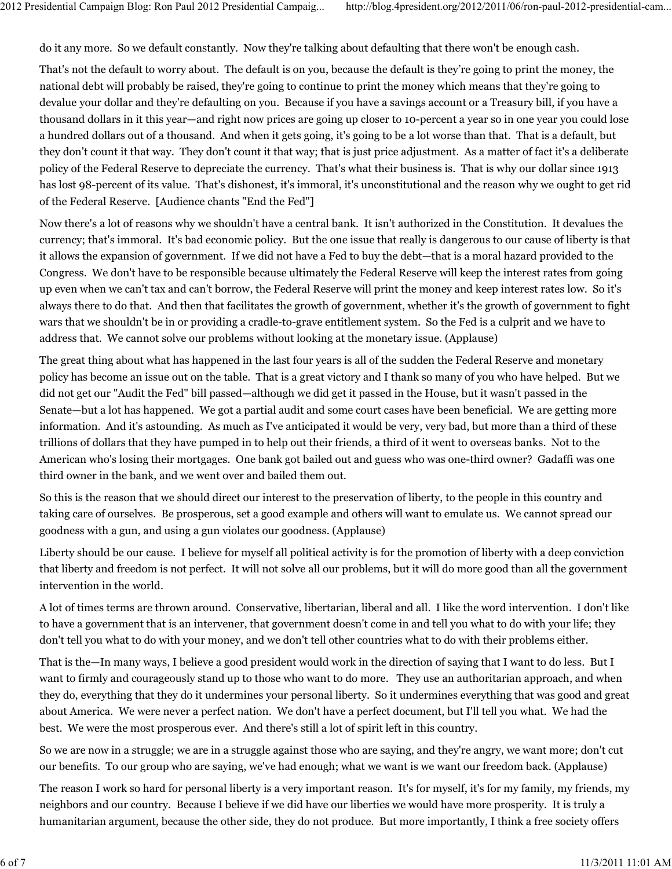do it any more. So we default constantly. Now they're talking about defaulting that there won't be enough cash.

That's not the default to worry about. The default is on you, because the default is they're going to print the money, the national debt will probably be raised, they're going to continue to print the money which means that they're going to devalue your dollar and they're defaulting on you. Because if you have a savings account or a Treasury bill, if you have a thousand dollars in it this year—and right now prices are going up closer to 10-percent a year so in one year you could lose a hundred dollars out of a thousand. And when it gets going, it's going to be a lot worse than that. That is a default, but they don't count it that way. They don't count it that way; that is just price adjustment. As a matter of fact it's a deliberate policy of the Federal Reserve to depreciate the currency. That's what their business is. That is why our dollar since 1913 has lost 98-percent of its value. That's dishonest, it's immoral, it's unconstitutional and the reason why we ought to get rid of the Federal Reserve. [Audience chants "End the Fed"]

Now there's a lot of reasons why we shouldn't have a central bank. It isn't authorized in the Constitution. It devalues the currency; that's immoral. It's bad economic policy. But the one issue that really is dangerous to our cause of liberty is that it allows the expansion of government. If we did not have a Fed to buy the debt—that is a moral hazard provided to the Congress. We don't have to be responsible because ultimately the Federal Reserve will keep the interest rates from going up even when we can't tax and can't borrow, the Federal Reserve will print the money and keep interest rates low. So it's always there to do that. And then that facilitates the growth of government, whether it's the growth of government to fight wars that we shouldn't be in or providing a cradle-to-grave entitlement system. So the Fed is a culprit and we have to address that. We cannot solve our problems without looking at the monetary issue. (Applause)

The great thing about what has happened in the last four years is all of the sudden the Federal Reserve and monetary policy has become an issue out on the table. That is a great victory and I thank so many of you who have helped. But we did not get our "Audit the Fed" bill passed—although we did get it passed in the House, but it wasn't passed in the Senate—but a lot has happened. We got a partial audit and some court cases have been beneficial. We are getting more information. And it's astounding. As much as I've anticipated it would be very, very bad, but more than a third of these trillions of dollars that they have pumped in to help out their friends, a third of it went to overseas banks. Not to the American who's losing their mortgages. One bank got bailed out and guess who was one-third owner? Gadaffi was one third owner in the bank, and we went over and bailed them out.

So this is the reason that we should direct our interest to the preservation of liberty, to the people in this country and taking care of ourselves. Be prosperous, set a good example and others will want to emulate us. We cannot spread our goodness with a gun, and using a gun violates our goodness. (Applause)

Liberty should be our cause. I believe for myself all political activity is for the promotion of liberty with a deep conviction that liberty and freedom is not perfect. It will not solve all our problems, but it will do more good than all the government intervention in the world.

A lot of times terms are thrown around. Conservative, libertarian, liberal and all. I like the word intervention. I don't like to have a government that is an intervener, that government doesn't come in and tell you what to do with your life; they don't tell you what to do with your money, and we don't tell other countries what to do with their problems either.

That is the—In many ways, I believe a good president would work in the direction of saying that I want to do less. But I want to firmly and courageously stand up to those who want to do more. They use an authoritarian approach, and when they do, everything that they do it undermines your personal liberty. So it undermines everything that was good and great about America. We were never a perfect nation. We don't have a perfect document, but I'll tell you what. We had the best. We were the most prosperous ever. And there's still a lot of spirit left in this country.

So we are now in a struggle; we are in a struggle against those who are saying, and they're angry, we want more; don't cut our benefits. To our group who are saying, we've had enough; what we want is we want our freedom back. (Applause)

The reason I work so hard for personal liberty is a very important reason. It's for myself, it's for my family, my friends, my neighbors and our country. Because I believe if we did have our liberties we would have more prosperity. It is truly a humanitarian argument, because the other side, they do not produce. But more importantly, I think a free society offers